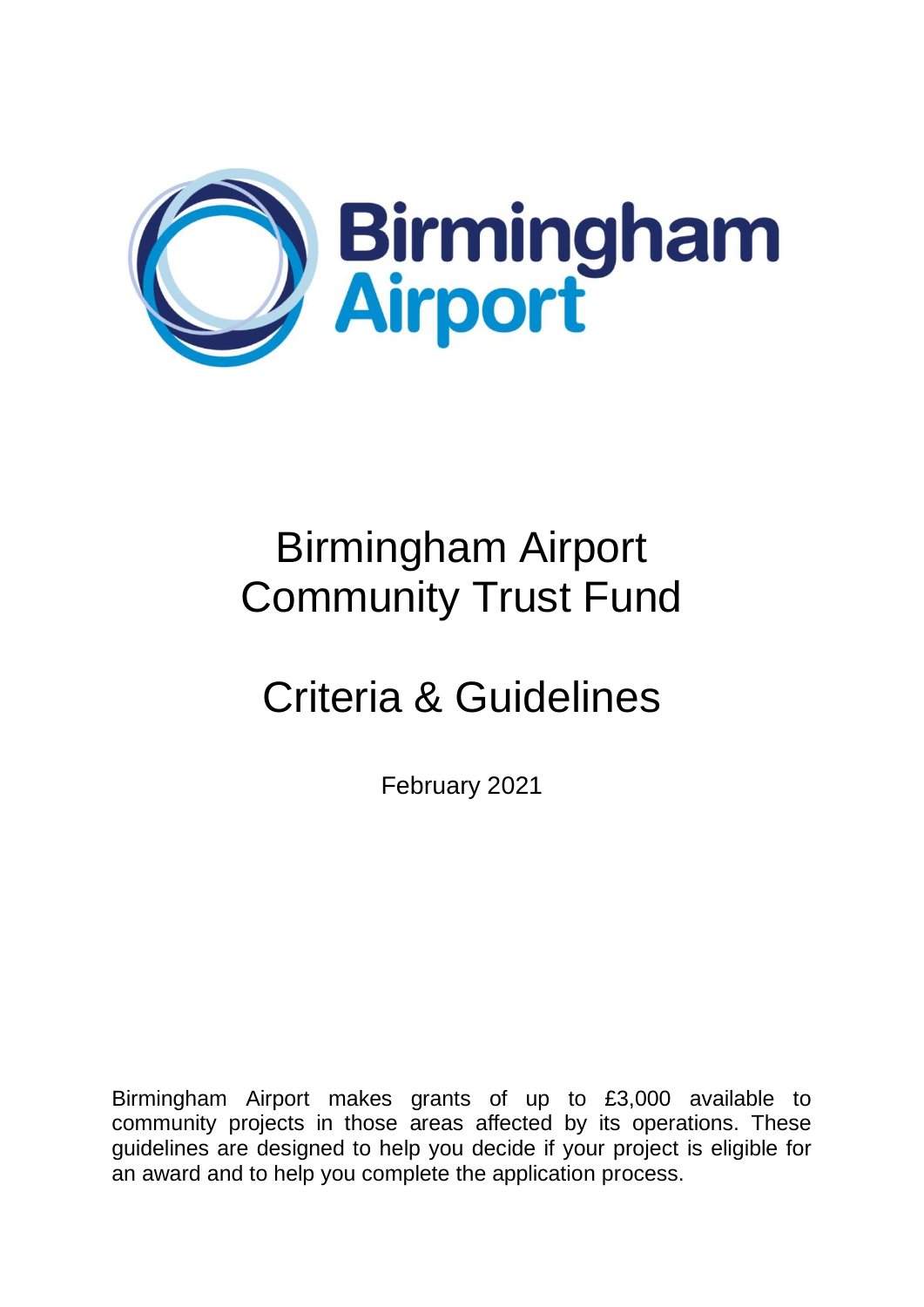

# Criteria & Guidelines

February 2021

Birmingham Airport makes grants of up to £3,000 available to community projects in those areas affected by its operations. These guidelines are designed to help you decide if your project is eligible for an award and to help you complete the application process.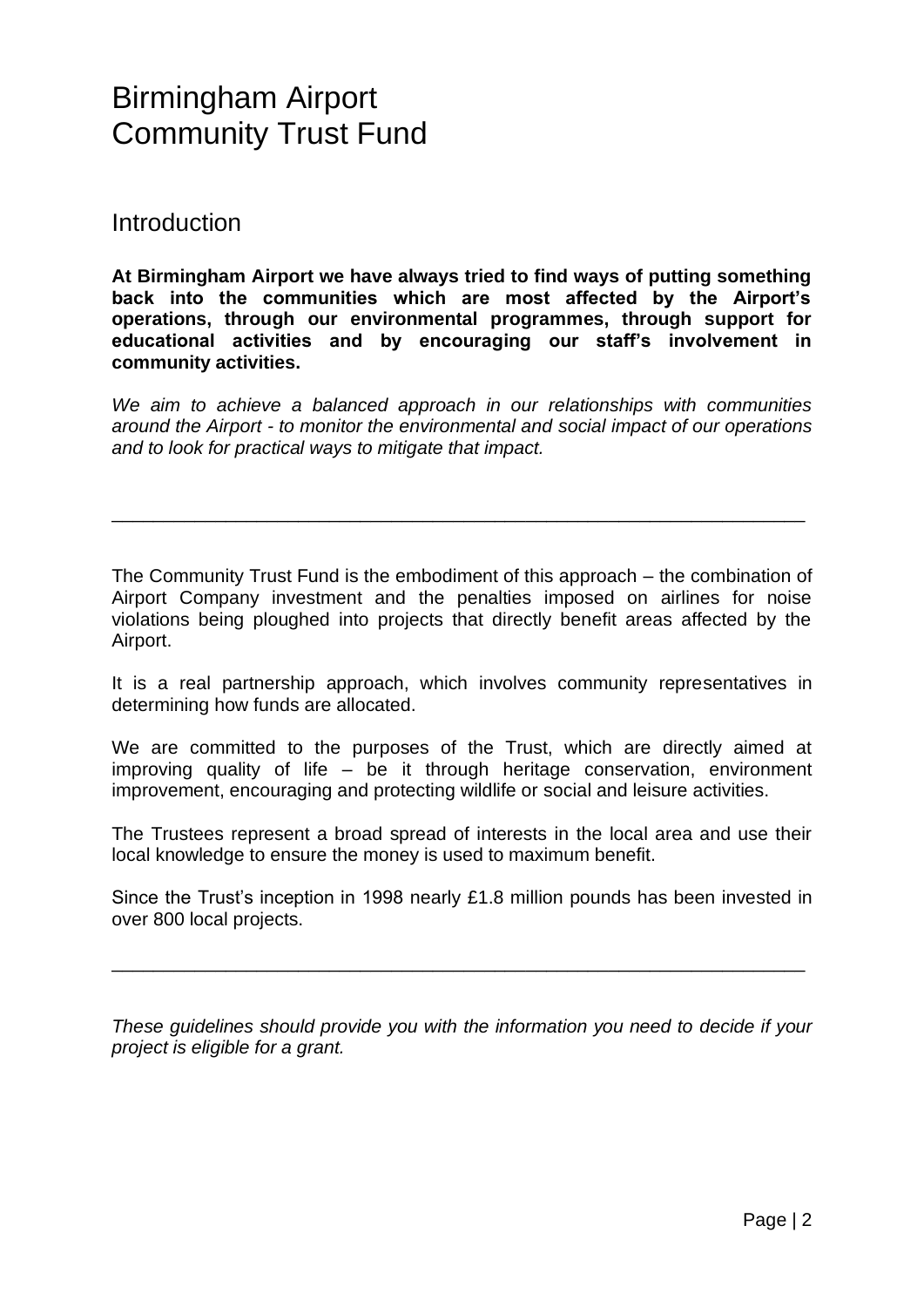**Introduction** 

**At Birmingham Airport we have always tried to find ways of putting something back into the communities which are most affected by the Airport's operations, through our environmental programmes, through support for educational activities and by encouraging our staff's involvement in community activities.**

*We aim to achieve a balanced approach in our relationships with communities around the Airport - to monitor the environmental and social impact of our operations and to look for practical ways to mitigate that impact.*

\_\_\_\_\_\_\_\_\_\_\_\_\_\_\_\_\_\_\_\_\_\_\_\_\_\_\_\_\_\_\_\_\_\_\_\_\_\_\_\_\_\_\_\_\_\_\_\_\_\_\_\_\_\_\_\_\_\_\_\_\_\_\_\_\_\_\_

The Community Trust Fund is the embodiment of this approach – the combination of Airport Company investment and the penalties imposed on airlines for noise violations being ploughed into projects that directly benefit areas affected by the Airport.

It is a real partnership approach, which involves community representatives in determining how funds are allocated.

We are committed to the purposes of the Trust, which are directly aimed at improving quality of life – be it through heritage conservation, environment improvement, encouraging and protecting wildlife or social and leisure activities.

The Trustees represent a broad spread of interests in the local area and use their local knowledge to ensure the money is used to maximum benefit.

Since the Trust's inception in 1998 nearly £1.8 million pounds has been invested in over 800 local projects.

\_\_\_\_\_\_\_\_\_\_\_\_\_\_\_\_\_\_\_\_\_\_\_\_\_\_\_\_\_\_\_\_\_\_\_\_\_\_\_\_\_\_\_\_\_\_\_\_\_\_\_\_\_\_\_\_\_\_\_\_\_\_\_\_\_\_\_

*These guidelines should provide you with the information you need to decide if your project is eligible for a grant.*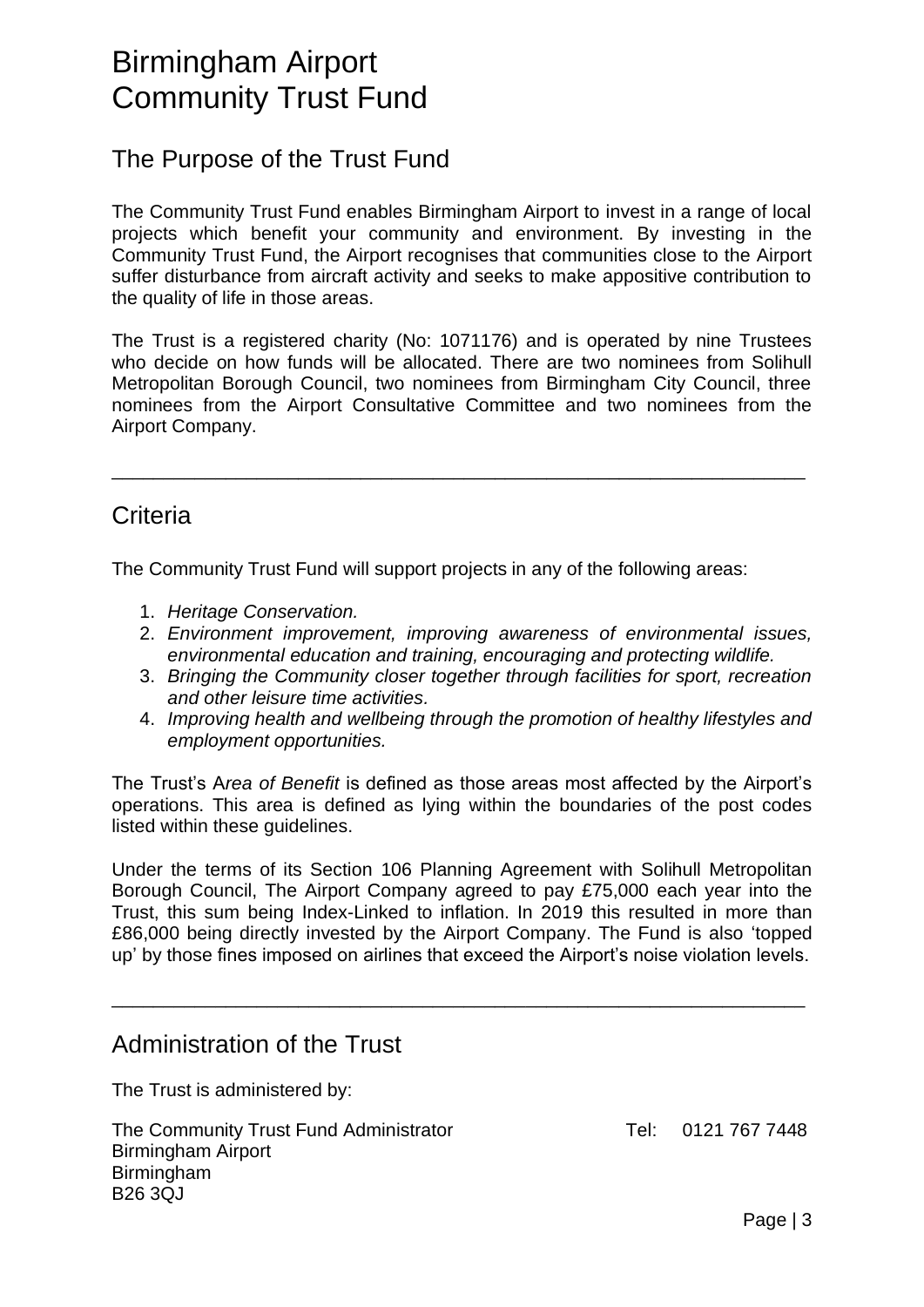### The Purpose of the Trust Fund

The Community Trust Fund enables Birmingham Airport to invest in a range of local projects which benefit your community and environment. By investing in the Community Trust Fund, the Airport recognises that communities close to the Airport suffer disturbance from aircraft activity and seeks to make appositive contribution to the quality of life in those areas.

The Trust is a registered charity (No: 1071176) and is operated by nine Trustees who decide on how funds will be allocated. There are two nominees from Solihull Metropolitan Borough Council, two nominees from Birmingham City Council, three nominees from the Airport Consultative Committee and two nominees from the Airport Company.

\_\_\_\_\_\_\_\_\_\_\_\_\_\_\_\_\_\_\_\_\_\_\_\_\_\_\_\_\_\_\_\_\_\_\_\_\_\_\_\_\_\_\_\_\_\_\_\_\_\_\_\_\_\_\_\_\_\_\_\_\_\_\_\_\_\_\_

### **Criteria**

The Community Trust Fund will support projects in any of the following areas:

- 1. *Heritage Conservation.*
- 2. *Environment improvement, improving awareness of environmental issues, environmental education and training, encouraging and protecting wildlife.*
- 3. *Bringing the Community closer together through facilities for sport, recreation and other leisure time activities.*
- 4. *Improving health and wellbeing through the promotion of healthy lifestyles and employment opportunities.*

The Trust's A*rea of Benefit* is defined as those areas most affected by the Airport's operations. This area is defined as lying within the boundaries of the post codes listed within these guidelines.

Under the terms of its Section 106 Planning Agreement with Solihull Metropolitan Borough Council, The Airport Company agreed to pay £75,000 each year into the Trust, this sum being Index-Linked to inflation. In 2019 this resulted in more than £86,000 being directly invested by the Airport Company. The Fund is also 'topped up' by those fines imposed on airlines that exceed the Airport's noise violation levels.

\_\_\_\_\_\_\_\_\_\_\_\_\_\_\_\_\_\_\_\_\_\_\_\_\_\_\_\_\_\_\_\_\_\_\_\_\_\_\_\_\_\_\_\_\_\_\_\_\_\_\_\_\_\_\_\_\_\_\_\_\_\_\_\_\_\_\_

### Administration of the Trust

The Trust is administered by:

The Community Trust Fund Administrator Tel: 0121 767 7448 Birmingham Airport Birmingham B26 3QJ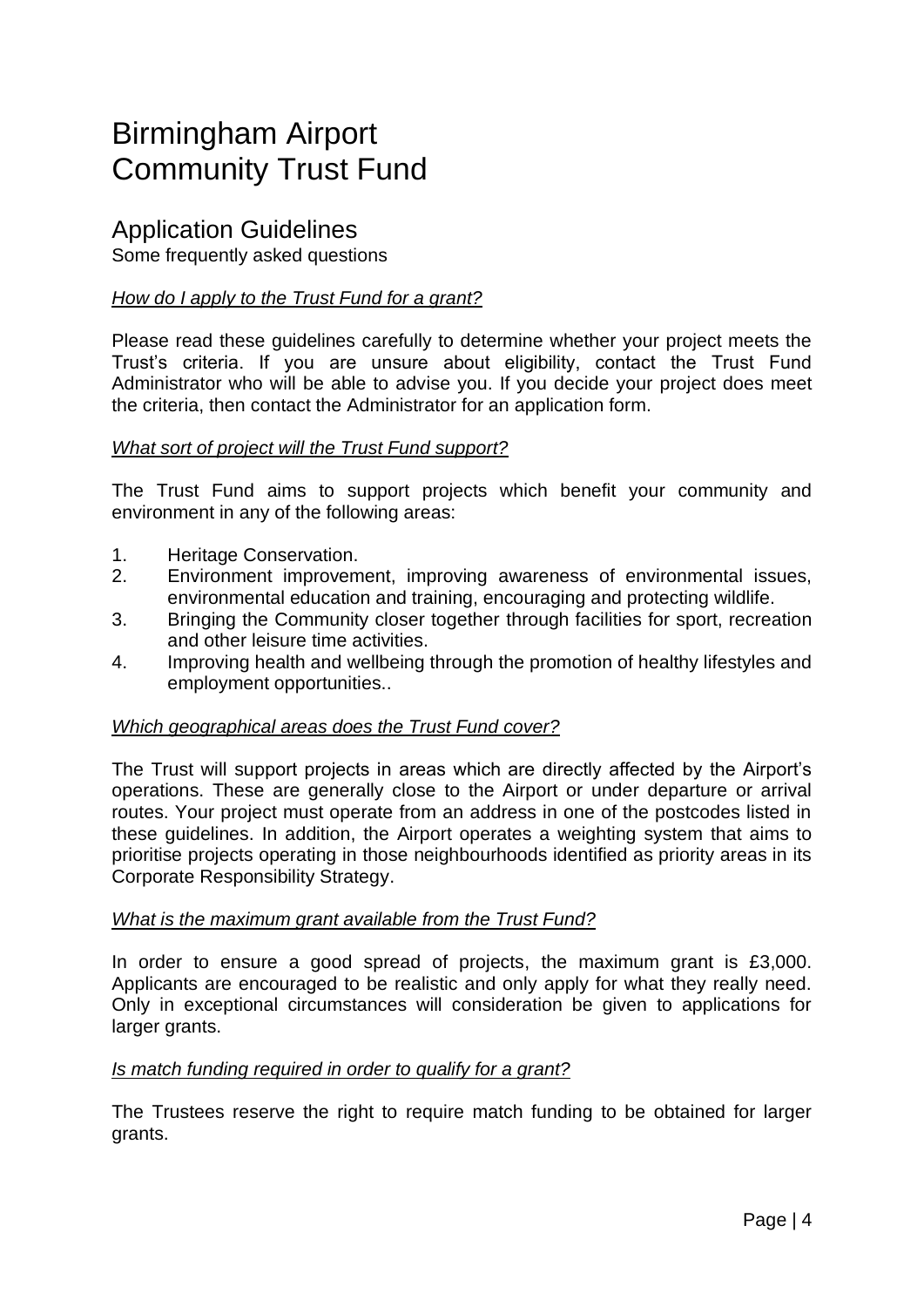### Application Guidelines

Some frequently asked questions

#### *How do I apply to the Trust Fund for a grant?*

Please read these guidelines carefully to determine whether your project meets the Trust's criteria. If you are unsure about eligibility, contact the Trust Fund Administrator who will be able to advise you. If you decide your project does meet the criteria, then contact the Administrator for an application form.

#### *What sort of project will the Trust Fund support?*

The Trust Fund aims to support projects which benefit your community and environment in any of the following areas:

- 1. Heritage Conservation.
- 2. Environment improvement, improving awareness of environmental issues, environmental education and training, encouraging and protecting wildlife.
- 3. Bringing the Community closer together through facilities for sport, recreation and other leisure time activities.
- 4. Improving health and wellbeing through the promotion of healthy lifestyles and employment opportunities..

#### *Which geographical areas does the Trust Fund cover?*

The Trust will support projects in areas which are directly affected by the Airport's operations. These are generally close to the Airport or under departure or arrival routes. Your project must operate from an address in one of the postcodes listed in these guidelines. In addition, the Airport operates a weighting system that aims to prioritise projects operating in those neighbourhoods identified as priority areas in its Corporate Responsibility Strategy.

#### *What is the maximum grant available from the Trust Fund?*

In order to ensure a good spread of projects, the maximum grant is £3,000. Applicants are encouraged to be realistic and only apply for what they really need. Only in exceptional circumstances will consideration be given to applications for larger grants.

#### *Is match funding required in order to qualify for a grant?*

The Trustees reserve the right to require match funding to be obtained for larger grants.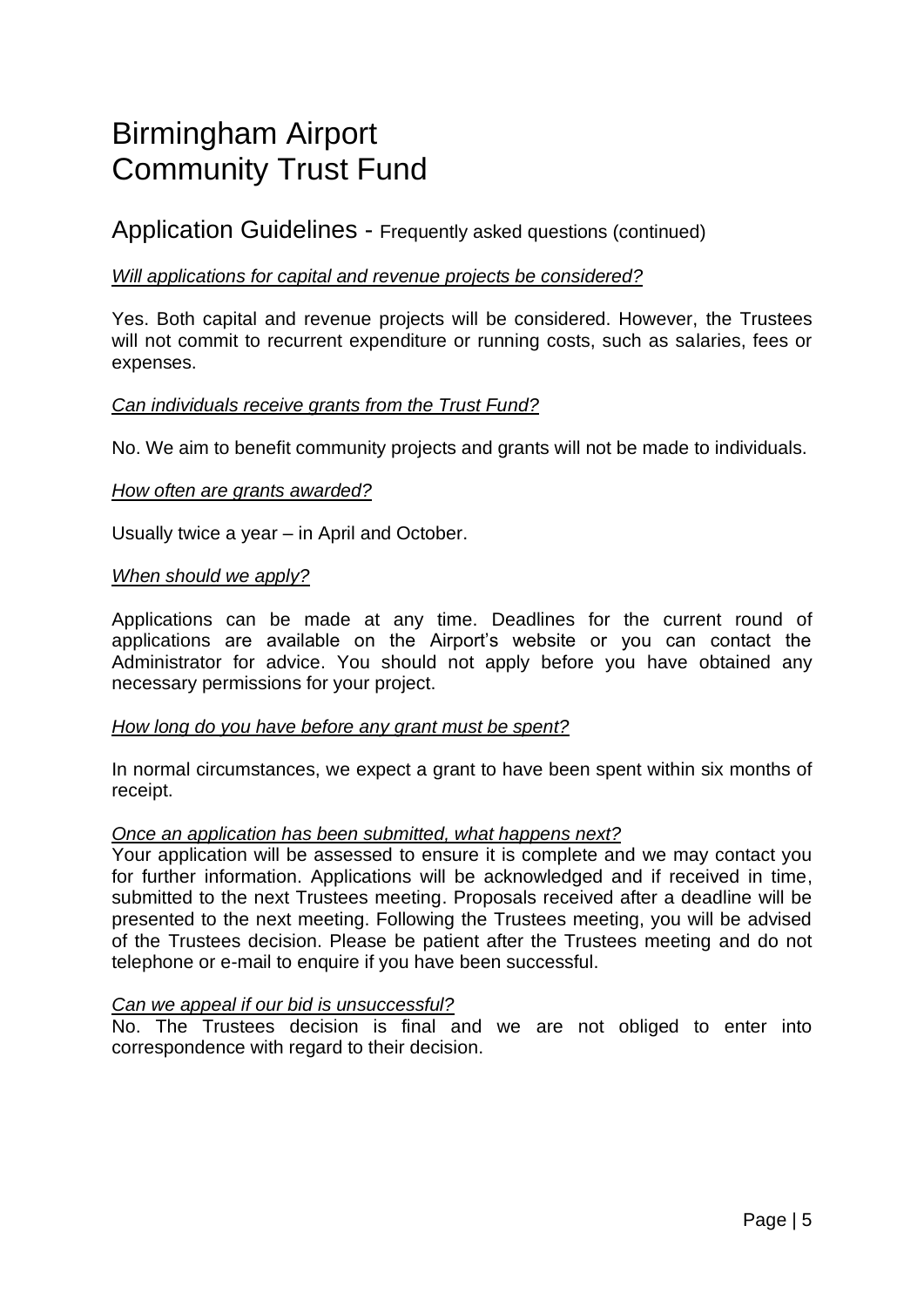Application Guidelines - Frequently asked questions (continued)

#### *Will applications for capital and revenue projects be considered?*

Yes. Both capital and revenue projects will be considered. However, the Trustees will not commit to recurrent expenditure or running costs, such as salaries, fees or expenses.

#### *Can individuals receive grants from the Trust Fund?*

No. We aim to benefit community projects and grants will not be made to individuals.

#### *How often are grants awarded?*

Usually twice a year – in April and October.

#### *When should we apply?*

Applications can be made at any time. Deadlines for the current round of applications are available on the Airport's website or you can contact the Administrator for advice. You should not apply before you have obtained any necessary permissions for your project.

#### *How long do you have before any grant must be spent?*

In normal circumstances, we expect a grant to have been spent within six months of receipt.

#### *Once an application has been submitted, what happens next?*

Your application will be assessed to ensure it is complete and we may contact you for further information. Applications will be acknowledged and if received in time, submitted to the next Trustees meeting. Proposals received after a deadline will be presented to the next meeting. Following the Trustees meeting, you will be advised of the Trustees decision. Please be patient after the Trustees meeting and do not telephone or e-mail to enquire if you have been successful.

#### *Can we appeal if our bid is unsuccessful?*

No. The Trustees decision is final and we are not obliged to enter into correspondence with regard to their decision.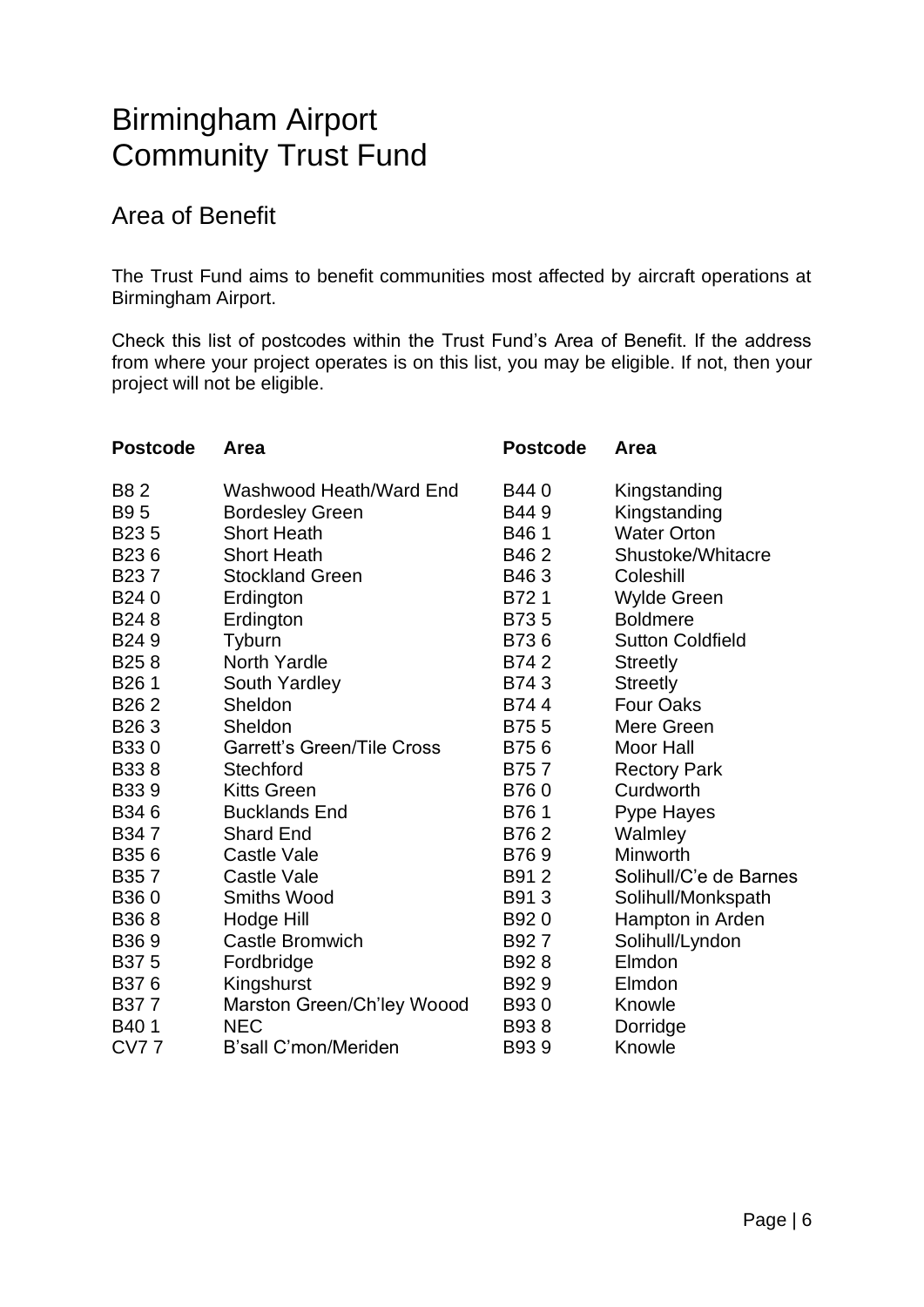### Area of Benefit

The Trust Fund aims to benefit communities most affected by aircraft operations at Birmingham Airport.

Check this list of postcodes within the Trust Fund's Area of Benefit. If the address from where your project operates is on this list, you may be eligible. If not, then your project will not be eligible.

| <b>Postcode</b>   | Area                              | <b>Postcode</b> | Area                    |
|-------------------|-----------------------------------|-----------------|-------------------------|
| <b>B82</b>        | Washwood Heath/Ward End           | B44 0           | Kingstanding            |
| <b>B95</b>        | <b>Bordesley Green</b>            | B449            | Kingstanding            |
| B <sub>235</sub>  | <b>Short Heath</b>                | B461            | <b>Water Orton</b>      |
| B <sub>236</sub>  | <b>Short Heath</b>                | B462            | Shustoke/Whitacre       |
| B <sub>23</sub> 7 | <b>Stockland Green</b>            | B463            | Coleshill               |
| B240              | Erdington                         | B721            | <b>Wylde Green</b>      |
| B <sub>24</sub> 8 | Erdington                         | B735            | <b>Boldmere</b>         |
| B <sub>24</sub> 9 | Tyburn                            | B736            | <b>Sutton Coldfield</b> |
| B <sub>25</sub> 8 | <b>North Yardle</b>               | B742            | <b>Streetly</b>         |
| B <sub>26</sub> 1 | South Yardley                     | B743            | <b>Streetly</b>         |
| B <sub>26</sub> 2 | Sheldon                           | B744            | <b>Four Oaks</b>        |
| B <sub>26</sub> 3 | Sheldon                           | B755            | Mere Green              |
| B330              | <b>Garrett's Green/Tile Cross</b> | B756            | <b>Moor Hall</b>        |
| B338              | <b>Stechford</b>                  | B757            | <b>Rectory Park</b>     |
| <b>B339</b>       | <b>Kitts Green</b>                | B760            | Curdworth               |
| B346              | <b>Bucklands End</b>              | B761            | Pype Hayes              |
| B347              | <b>Shard End</b>                  | B762            | Walmley                 |
| B356              | <b>Castle Vale</b>                | B769            | Minworth                |
| B <sub>35</sub> 7 | Castle Vale                       | B91 2           | Solihull/C'e de Barnes  |
| B <sub>360</sub>  | <b>Smiths Wood</b>                | B913            | Solihull/Monkspath      |
| B368              | Hodge Hill                        | B920            | Hampton in Arden        |
| B369              | <b>Castle Bromwich</b>            | B927            | Solihull/Lyndon         |
| B375              | Fordbridge                        | B928            | Elmdon                  |
| B376              | Kingshurst                        | B929            | Elmdon                  |
| B377              | Marston Green/Ch'ley Woood        | B930            | Knowle                  |
| B <sub>40</sub> 1 | <b>NEC</b>                        | B938            | Dorridge                |
| <b>CV77</b>       | B'sall C'mon/Meriden              | B939            | Knowle                  |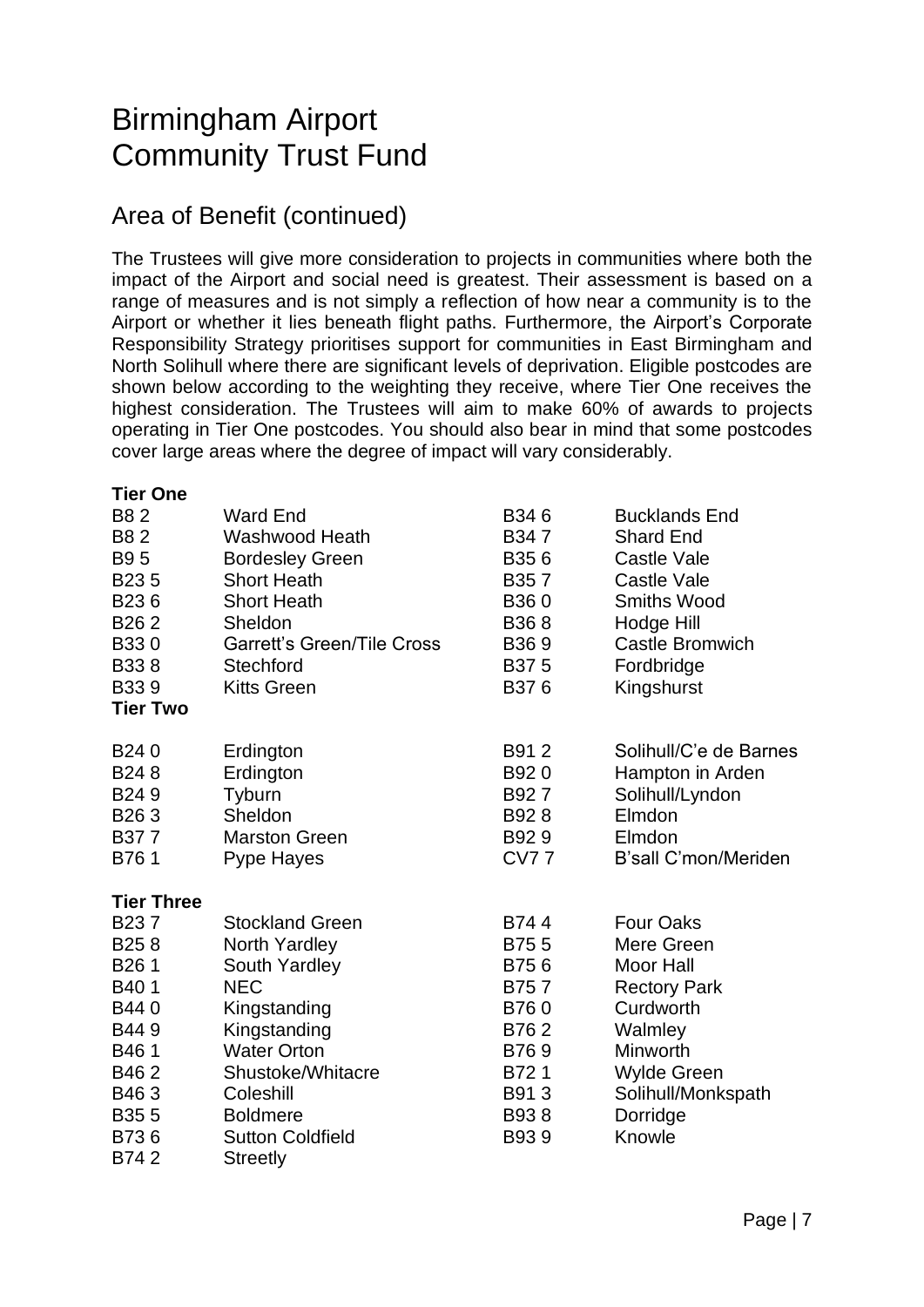### Area of Benefit (continued)

The Trustees will give more consideration to projects in communities where both the impact of the Airport and social need is greatest. Their assessment is based on a range of measures and is not simply a reflection of how near a community is to the Airport or whether it lies beneath flight paths. Furthermore, the Airport's Corporate Responsibility Strategy prioritises support for communities in East Birmingham and North Solihull where there are significant levels of deprivation. Eligible postcodes are shown below according to the weighting they receive, where Tier One receives the highest consideration. The Trustees will aim to make 60% of awards to projects operating in Tier One postcodes. You should also bear in mind that some postcodes cover large areas where the degree of impact will vary considerably.

#### **Tier One**

| B8 2              | <b>Ward End</b>                   | B346              | <b>Bucklands End</b>   |
|-------------------|-----------------------------------|-------------------|------------------------|
| <b>B82</b>        | Washwood Heath                    | B347              | <b>Shard End</b>       |
| B9 5              | <b>Bordesley Green</b>            | B356              | <b>Castle Vale</b>     |
| B <sub>235</sub>  | <b>Short Heath</b>                | B <sub>35</sub> 7 | <b>Castle Vale</b>     |
| B236              | <b>Short Heath</b>                | B360              | <b>Smiths Wood</b>     |
| B <sub>26</sub> 2 | Sheldon                           | B <sub>36</sub> 8 | Hodge Hill             |
| B330              | <b>Garrett's Green/Tile Cross</b> | B <sub>36</sub> 9 | <b>Castle Bromwich</b> |
| B338              | Stechford                         | B375              | Fordbridge             |
| B339              | <b>Kitts Green</b>                | B376              | Kingshurst             |
| <b>Tier Two</b>   |                                   |                   |                        |
| B240              | Erdington                         | B912              | Solihull/C'e de Barnes |
| B <sub>24</sub> 8 | Erdington                         | B920              | Hampton in Arden       |
| B <sub>24</sub> 9 | Tyburn                            | B927              | Solihull/Lyndon        |
| B <sub>26</sub> 3 | Sheldon                           | B928              | Elmdon                 |
| B377              | <b>Marston Green</b>              | B929              | Elmdon                 |
| B761              | Pype Hayes                        | <b>CV77</b>       | B'sall C'mon/Meriden   |
| <b>Tier Three</b> |                                   |                   |                        |
| B <sub>23</sub> 7 | <b>Stockland Green</b>            | B744              | <b>Four Oaks</b>       |
| B <sub>25</sub> 8 | North Yardley                     | B755              | Mere Green             |
| B <sub>26</sub> 1 | South Yardley                     | B756              | <b>Moor Hall</b>       |
| B40 1             | <b>NEC</b>                        | B757              | <b>Rectory Park</b>    |
| B440              | Kingstanding                      | B760              | Curdworth              |
| B449              | Kingstanding                      | B762              | Walmley                |
| B461              | <b>Water Orton</b>                | B769              | Minworth               |
| B462              | Shustoke/Whitacre                 | B721              | Wylde Green            |
| B463              | Coleshill                         | B913              | Solihull/Monkspath     |
| B <sub>35</sub> 5 | <b>Boldmere</b>                   | B938              | Dorridge               |
| B736              | <b>Sutton Coldfield</b>           | B939              | Knowle                 |
| B742              | Streetly                          |                   |                        |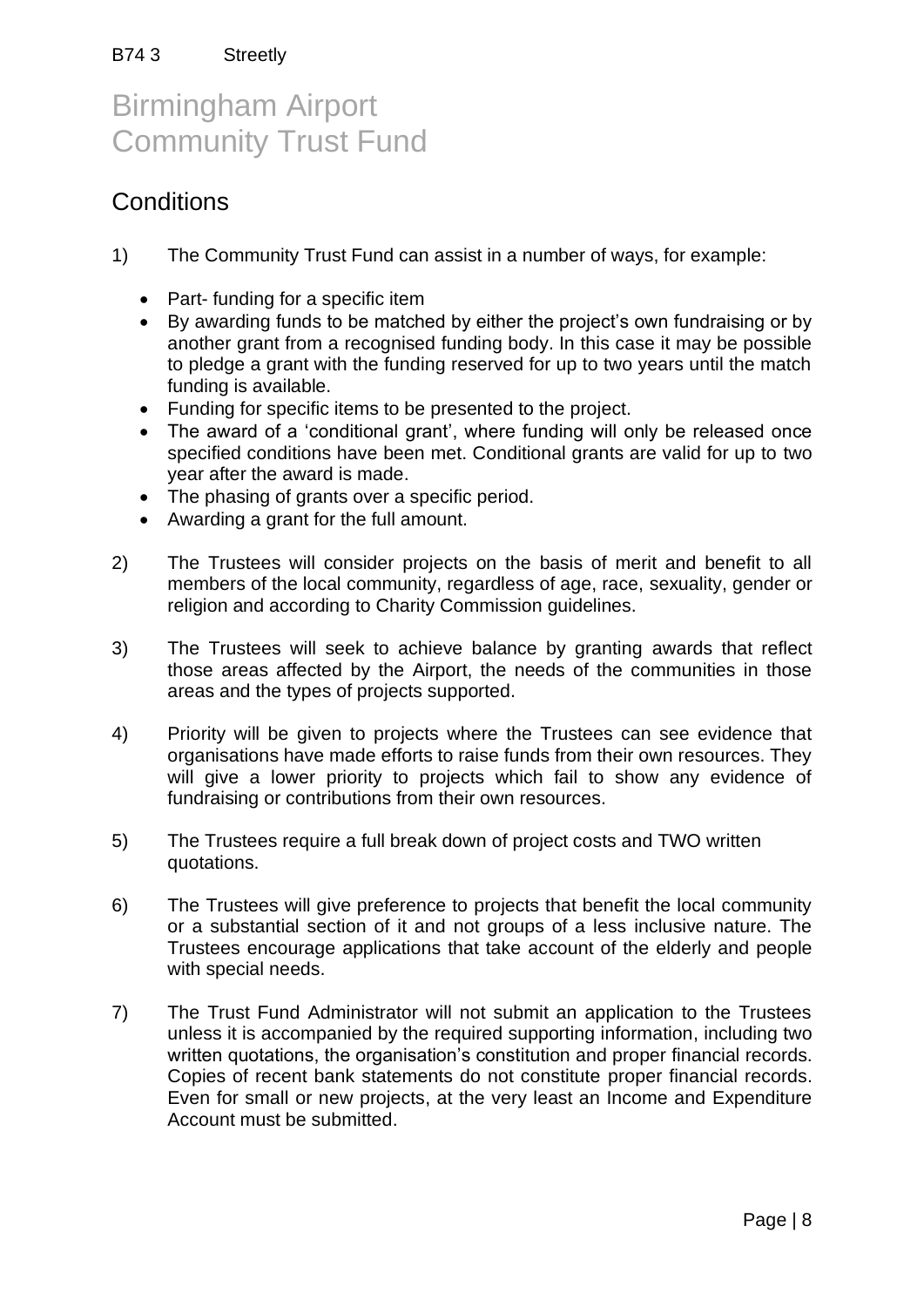### **Conditions**

- 1) The Community Trust Fund can assist in a number of ways, for example:
	- Part- funding for a specific item
	- By awarding funds to be matched by either the project's own fundraising or by another grant from a recognised funding body. In this case it may be possible to pledge a grant with the funding reserved for up to two years until the match funding is available.
	- Funding for specific items to be presented to the project.
	- The award of a 'conditional grant', where funding will only be released once specified conditions have been met. Conditional grants are valid for up to two year after the award is made.
	- The phasing of grants over a specific period.
	- Awarding a grant for the full amount.
- 2) The Trustees will consider projects on the basis of merit and benefit to all members of the local community, regardless of age, race, sexuality, gender or religion and according to Charity Commission guidelines.
- 3) The Trustees will seek to achieve balance by granting awards that reflect those areas affected by the Airport, the needs of the communities in those areas and the types of projects supported.
- 4) Priority will be given to projects where the Trustees can see evidence that organisations have made efforts to raise funds from their own resources. They will give a lower priority to projects which fail to show any evidence of fundraising or contributions from their own resources.
- 5) The Trustees require a full break down of project costs and TWO written quotations.
- 6) The Trustees will give preference to projects that benefit the local community or a substantial section of it and not groups of a less inclusive nature. The Trustees encourage applications that take account of the elderly and people with special needs.
- 7) The Trust Fund Administrator will not submit an application to the Trustees unless it is accompanied by the required supporting information, including two written quotations, the organisation's constitution and proper financial records. Copies of recent bank statements do not constitute proper financial records. Even for small or new projects, at the very least an Income and Expenditure Account must be submitted.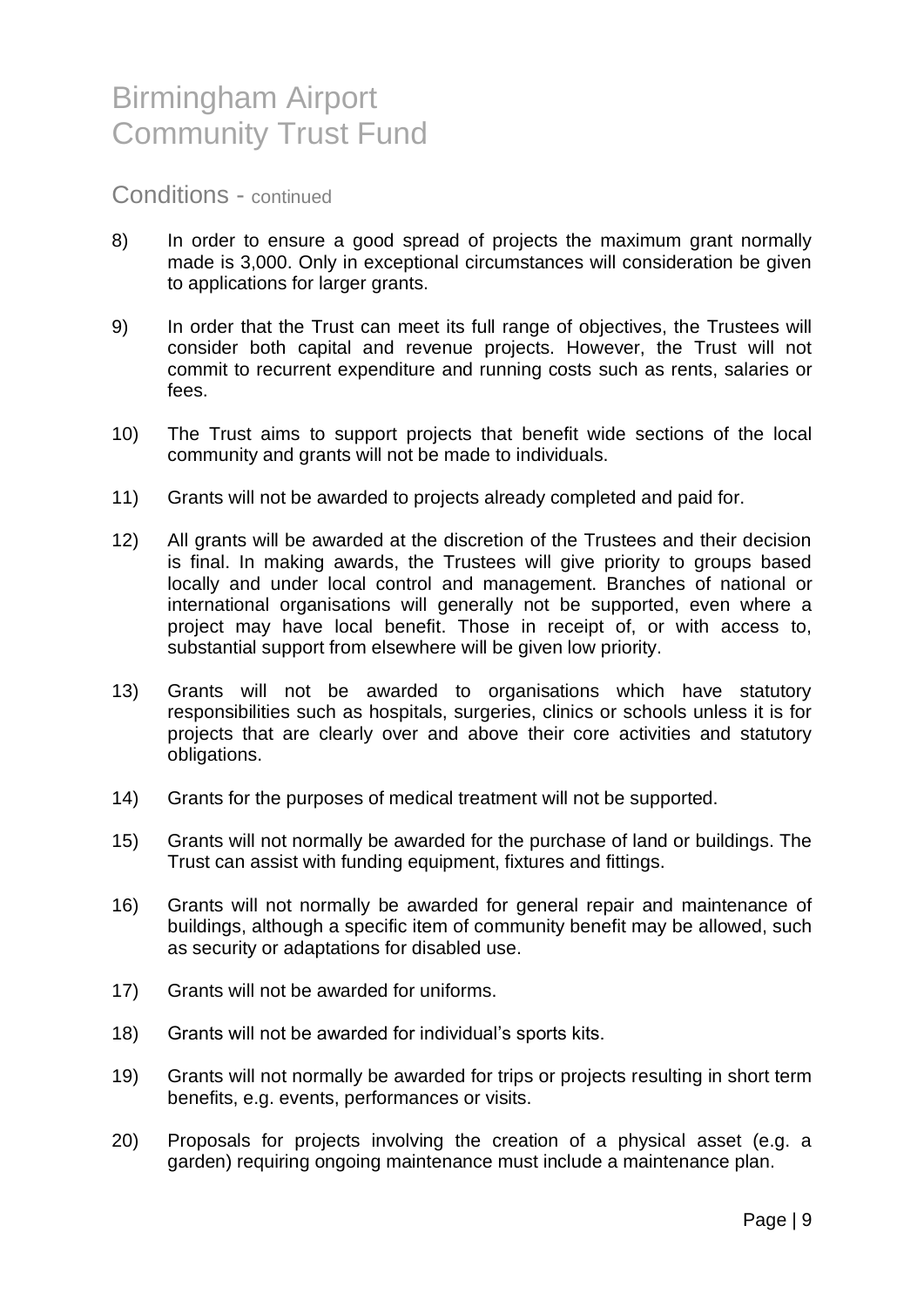Conditions - continued

- 8) In order to ensure a good spread of projects the maximum grant normally made is 3,000. Only in exceptional circumstances will consideration be given to applications for larger grants.
- 9) In order that the Trust can meet its full range of objectives, the Trustees will consider both capital and revenue projects. However, the Trust will not commit to recurrent expenditure and running costs such as rents, salaries or fees.
- 10) The Trust aims to support projects that benefit wide sections of the local community and grants will not be made to individuals.
- 11) Grants will not be awarded to projects already completed and paid for.
- 12) All grants will be awarded at the discretion of the Trustees and their decision is final. In making awards, the Trustees will give priority to groups based locally and under local control and management. Branches of national or international organisations will generally not be supported, even where a project may have local benefit. Those in receipt of, or with access to, substantial support from elsewhere will be given low priority.
- 13) Grants will not be awarded to organisations which have statutory responsibilities such as hospitals, surgeries, clinics or schools unless it is for projects that are clearly over and above their core activities and statutory obligations.
- 14) Grants for the purposes of medical treatment will not be supported.
- 15) Grants will not normally be awarded for the purchase of land or buildings. The Trust can assist with funding equipment, fixtures and fittings.
- 16) Grants will not normally be awarded for general repair and maintenance of buildings, although a specific item of community benefit may be allowed, such as security or adaptations for disabled use.
- 17) Grants will not be awarded for uniforms.
- 18) Grants will not be awarded for individual's sports kits.
- 19) Grants will not normally be awarded for trips or projects resulting in short term benefits, e.g. events, performances or visits.
- 20) Proposals for projects involving the creation of a physical asset (e.g. a garden) requiring ongoing maintenance must include a maintenance plan.